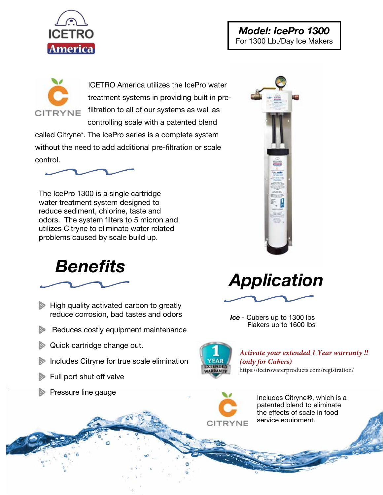



ICETRO America utilizes the IcePro water treatment systems in providing built in prefiltration to all of our systems as well as controlling scale with a patented blend

called Citryne\*. The IcePro series is a complete system without the need to add additional pre-filtration or scale control.



The IcePro 1300 is a single cartridge water treatment system designed to reduce sediment, chlorine, taste and odors. The system filters to 5 micron and utilizes Citryne to eliminate water related problems caused by scale build up.



- $\triangleright$  High quality activated carbon to greatly reduce corrosion, bad tastes and odors
- Reduces costly equipment maintenance
- **Quick cartridge change out.**
- Includes Citryne for true scale elimination
- Full port shut off valve





*Ice* - Cubers up to 1300 lbs Flakers up to 1600 lbs



*Activate your extended 1 Year warranty !!* (only for Cubers) https://icetrowaterproducts.com/registration/